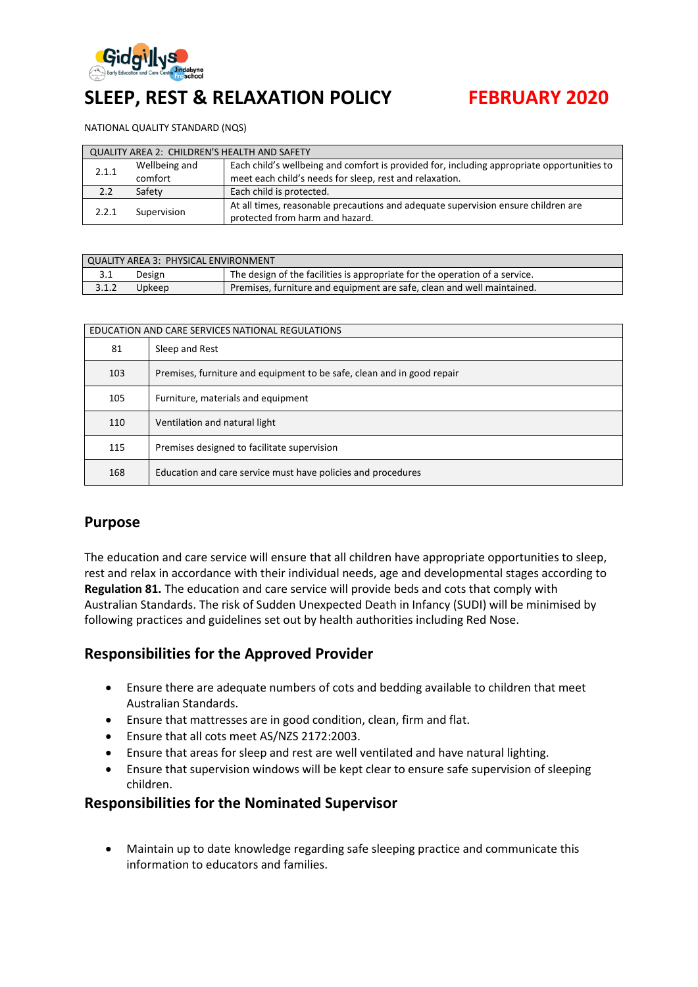

# **SLEEP, REST & RELAXATION POLICY FEBRUARY 2020**

NATIONAL QUALITY STANDARD (NQS)

| <b>QUALITY AREA 2: CHILDREN'S HEALTH AND SAFETY</b> |               |                                                                                            |
|-----------------------------------------------------|---------------|--------------------------------------------------------------------------------------------|
| 2.1.1                                               | Wellbeing and | Each child's wellbeing and comfort is provided for, including appropriate opportunities to |
|                                                     | comfort       | meet each child's needs for sleep, rest and relaxation.                                    |
| 2.2                                                 | Safety        | Each child is protected.                                                                   |
| 2.2.1                                               | Supervision   | At all times, reasonable precautions and adequate supervision ensure children are          |
|                                                     |               | protected from harm and hazard.                                                            |

| QUALITY AREA 3: PHYSICAL ENVIRONMENT |        |                                                                             |
|--------------------------------------|--------|-----------------------------------------------------------------------------|
| 3.1                                  | Design | The design of the facilities is appropriate for the operation of a service. |
| 3.1.2                                | Upkeep | Premises, furniture and equipment are safe, clean and well maintained.      |

| EDUCATION AND CARE SERVICES NATIONAL REGULATIONS |                                                                        |  |
|--------------------------------------------------|------------------------------------------------------------------------|--|
| 81                                               | Sleep and Rest                                                         |  |
| 103                                              | Premises, furniture and equipment to be safe, clean and in good repair |  |
| 105                                              | Furniture, materials and equipment                                     |  |
| 110                                              | Ventilation and natural light                                          |  |
| 115                                              | Premises designed to facilitate supervision                            |  |
| 168                                              | Education and care service must have policies and procedures           |  |

#### **Purpose**

The education and care service will ensure that all children have appropriate opportunities to sleep, rest and relax in accordance with their individual needs, age and developmental stages according to **Regulation 81.** The education and care service will provide beds and cots that comply with Australian Standards. The risk of Sudden Unexpected Death in Infancy (SUDI) will be minimised by following practices and guidelines set out by health authorities including Red Nose.

# **Responsibilities for the Approved Provider**

- Ensure there are adequate numbers of cots and bedding available to children that meet Australian Standards.
- Ensure that mattresses are in good condition, clean, firm and flat.
- Ensure that all cots meet AS/NZS 2172:2003.
- Ensure that areas for sleep and rest are well ventilated and have natural lighting.
- Ensure that supervision windows will be kept clear to ensure safe supervision of sleeping children.

#### **Responsibilities for the Nominated Supervisor**

• Maintain up to date knowledge regarding safe sleeping practice and communicate this information to educators and families.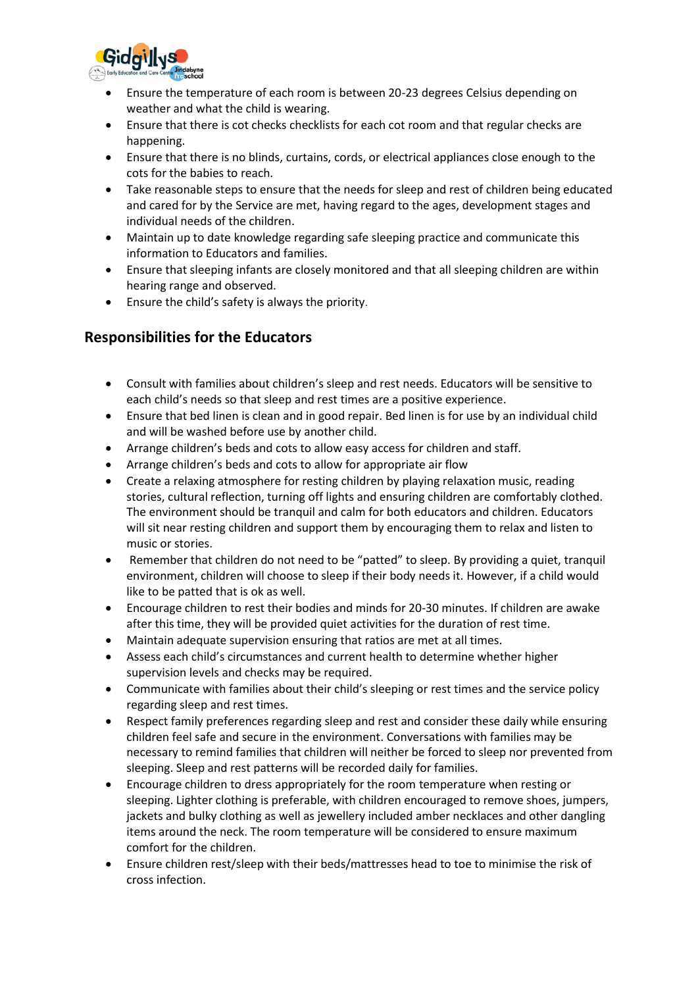

- Ensure the temperature of each room is between 20-23 degrees Celsius depending on weather and what the child is wearing.
- Ensure that there is cot checks checklists for each cot room and that regular checks are happening.
- Ensure that there is no blinds, curtains, cords, or electrical appliances close enough to the cots for the babies to reach.
- Take reasonable steps to ensure that the needs for sleep and rest of children being educated and cared for by the Service are met, having regard to the ages, development stages and individual needs of the children.
- Maintain up to date knowledge regarding safe sleeping practice and communicate this information to Educators and families.
- Ensure that sleeping infants are closely monitored and that all sleeping children are within hearing range and observed.
- Ensure the child's safety is always the priority.

### **Responsibilities for the Educators**

- Consult with families about children's sleep and rest needs. Educators will be sensitive to each child's needs so that sleep and rest times are a positive experience.
- Ensure that bed linen is clean and in good repair. Bed linen is for use by an individual child and will be washed before use by another child.
- Arrange children's beds and cots to allow easy access for children and staff.
- Arrange children's beds and cots to allow for appropriate air flow
- Create a relaxing atmosphere for resting children by playing relaxation music, reading stories, cultural reflection, turning off lights and ensuring children are comfortably clothed. The environment should be tranquil and calm for both educators and children. Educators will sit near resting children and support them by encouraging them to relax and listen to music or stories.
- Remember that children do not need to be "patted" to sleep. By providing a quiet, tranquil environment, children will choose to sleep if their body needs it. However, if a child would like to be patted that is ok as well.
- Encourage children to rest their bodies and minds for 20-30 minutes. If children are awake after this time, they will be provided quiet activities for the duration of rest time.
- Maintain adequate supervision ensuring that ratios are met at all times.
- Assess each child's circumstances and current health to determine whether higher supervision levels and checks may be required.
- Communicate with families about their child's sleeping or rest times and the service policy regarding sleep and rest times.
- Respect family preferences regarding sleep and rest and consider these daily while ensuring children feel safe and secure in the environment. Conversations with families may be necessary to remind families that children will neither be forced to sleep nor prevented from sleeping. Sleep and rest patterns will be recorded daily for families.
- Encourage children to dress appropriately for the room temperature when resting or sleeping. Lighter clothing is preferable, with children encouraged to remove shoes, jumpers, jackets and bulky clothing as well as jewellery included amber necklaces and other dangling items around the neck. The room temperature will be considered to ensure maximum comfort for the children.
- Ensure children rest/sleep with their beds/mattresses head to toe to minimise the risk of cross infection.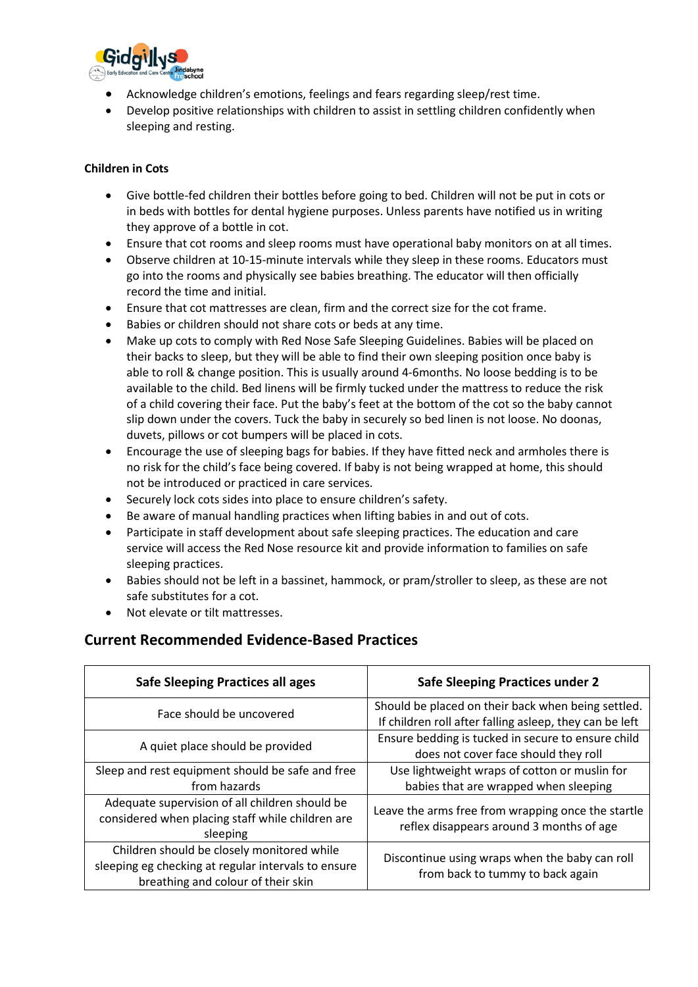

- Acknowledge children's emotions, feelings and fears regarding sleep/rest time.
- Develop positive relationships with children to assist in settling children confidently when sleeping and resting.

#### **Children in Cots**

- Give bottle-fed children their bottles before going to bed. Children will not be put in cots or in beds with bottles for dental hygiene purposes. Unless parents have notified us in writing they approve of a bottle in cot.
- Ensure that cot rooms and sleep rooms must have operational baby monitors on at all times.
- Observe children at 10-15-minute intervals while they sleep in these rooms. Educators must go into the rooms and physically see babies breathing. The educator will then officially record the time and initial.
- Ensure that cot mattresses are clean, firm and the correct size for the cot frame.
- Babies or children should not share cots or beds at any time.
- Make up cots to comply with Red Nose Safe Sleeping Guidelines. Babies will be placed on their backs to sleep, but they will be able to find their own sleeping position once baby is able to roll & change position. This is usually around 4-6months. No loose bedding is to be available to the child. Bed linens will be firmly tucked under the mattress to reduce the risk of a child covering their face. Put the baby's feet at the bottom of the cot so the baby cannot slip down under the covers. Tuck the baby in securely so bed linen is not loose. No doonas, duvets, pillows or cot bumpers will be placed in cots.
- Encourage the use of sleeping bags for babies. If they have fitted neck and armholes there is no risk for the child's face being covered. If baby is not being wrapped at home, this should not be introduced or practiced in care services.
- Securely lock cots sides into place to ensure children's safety.
- Be aware of manual handling practices when lifting babies in and out of cots.
- Participate in staff development about safe sleeping practices. The education and care service will access the Red Nose resource kit and provide information to families on safe sleeping practices.
- Babies should not be left in a bassinet, hammock, or pram/stroller to sleep, as these are not safe substitutes for a cot.
- Not elevate or tilt mattresses.

#### **Current Recommended Evidence-Based Practices**

| <b>Safe Sleeping Practices all ages</b>                                                                                                 | <b>Safe Sleeping Practices under 2</b>                                                                        |
|-----------------------------------------------------------------------------------------------------------------------------------------|---------------------------------------------------------------------------------------------------------------|
| Face should be uncovered                                                                                                                | Should be placed on their back when being settled.<br>If children roll after falling asleep, they can be left |
| A quiet place should be provided                                                                                                        | Ensure bedding is tucked in secure to ensure child<br>does not cover face should they roll                    |
| Sleep and rest equipment should be safe and free<br>from hazards                                                                        | Use lightweight wraps of cotton or muslin for<br>babies that are wrapped when sleeping                        |
| Adequate supervision of all children should be<br>considered when placing staff while children are<br>sleeping                          | Leave the arms free from wrapping once the startle<br>reflex disappears around 3 months of age                |
| Children should be closely monitored while<br>sleeping eg checking at regular intervals to ensure<br>breathing and colour of their skin | Discontinue using wraps when the baby can roll<br>from back to tummy to back again                            |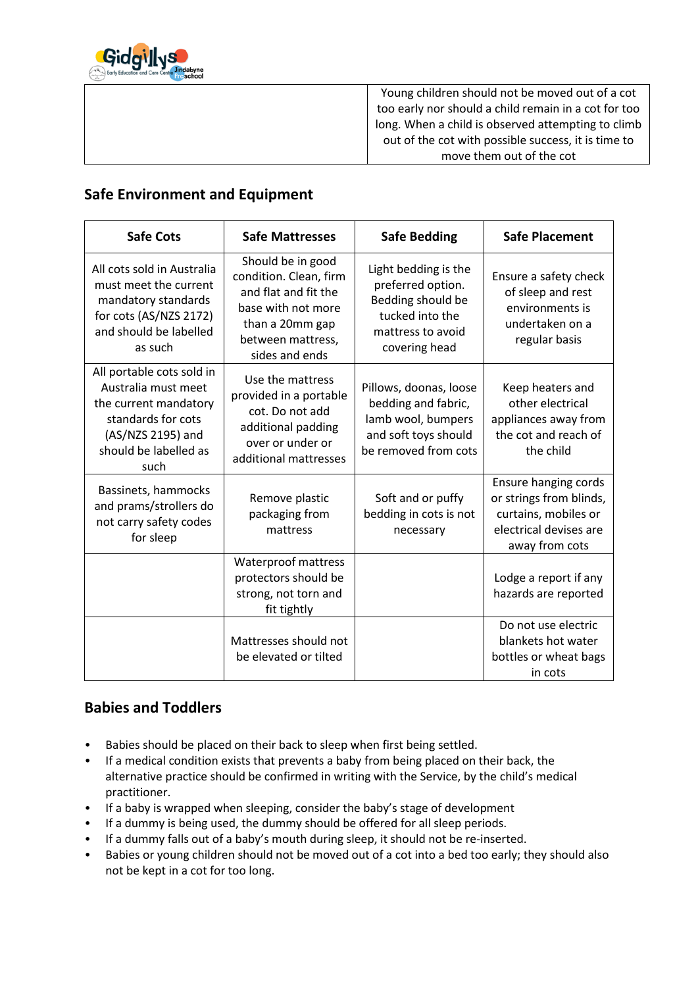

Young children should not be moved out of a cot too early nor should a child remain in a cot for too long. When a child is observed attempting to climb out of the cot with possible success, it is time to move them out of the cot

## **Safe Environment and Equipment**

| <b>Safe Cots</b>                                                                                                                                      | <b>Safe Mattresses</b>                                                                                                                              | <b>Safe Bedding</b>                                                                                                     | <b>Safe Placement</b>                                                                                               |
|-------------------------------------------------------------------------------------------------------------------------------------------------------|-----------------------------------------------------------------------------------------------------------------------------------------------------|-------------------------------------------------------------------------------------------------------------------------|---------------------------------------------------------------------------------------------------------------------|
| All cots sold in Australia<br>must meet the current<br>mandatory standards<br>for cots (AS/NZS 2172)<br>and should be labelled<br>as such             | Should be in good<br>condition. Clean, firm<br>and flat and fit the<br>base with not more<br>than a 20mm gap<br>between mattress,<br>sides and ends | Light bedding is the<br>preferred option.<br>Bedding should be<br>tucked into the<br>mattress to avoid<br>covering head | Ensure a safety check<br>of sleep and rest<br>environments is<br>undertaken on a<br>regular basis                   |
| All portable cots sold in<br>Australia must meet<br>the current mandatory<br>standards for cots<br>(AS/NZS 2195) and<br>should be labelled as<br>such | Use the mattress<br>provided in a portable<br>cot. Do not add<br>additional padding<br>over or under or<br>additional mattresses                    | Pillows, doonas, loose<br>bedding and fabric,<br>lamb wool, bumpers<br>and soft toys should<br>be removed from cots     | Keep heaters and<br>other electrical<br>appliances away from<br>the cot and reach of<br>the child                   |
| Bassinets, hammocks<br>and prams/strollers do<br>not carry safety codes<br>for sleep                                                                  | Remove plastic<br>packaging from<br>mattress                                                                                                        | Soft and or puffy<br>bedding in cots is not<br>necessary                                                                | Ensure hanging cords<br>or strings from blinds,<br>curtains, mobiles or<br>electrical devises are<br>away from cots |
|                                                                                                                                                       | Waterproof mattress<br>protectors should be<br>strong, not torn and<br>fit tightly                                                                  |                                                                                                                         | Lodge a report if any<br>hazards are reported                                                                       |
|                                                                                                                                                       | Mattresses should not<br>be elevated or tilted                                                                                                      |                                                                                                                         | Do not use electric<br>blankets hot water<br>bottles or wheat bags<br>in cots                                       |

### **Babies and Toddlers**

- Babies should be placed on their back to sleep when first being settled.
- If a medical condition exists that prevents a baby from being placed on their back, the alternative practice should be confirmed in writing with the Service, by the child's medical practitioner.
- If a baby is wrapped when sleeping, consider the baby's stage of development
- If a dummy is being used, the dummy should be offered for all sleep periods.
- If a dummy falls out of a baby's mouth during sleep, it should not be re-inserted.
- Babies or young children should not be moved out of a cot into a bed too early; they should also not be kept in a cot for too long.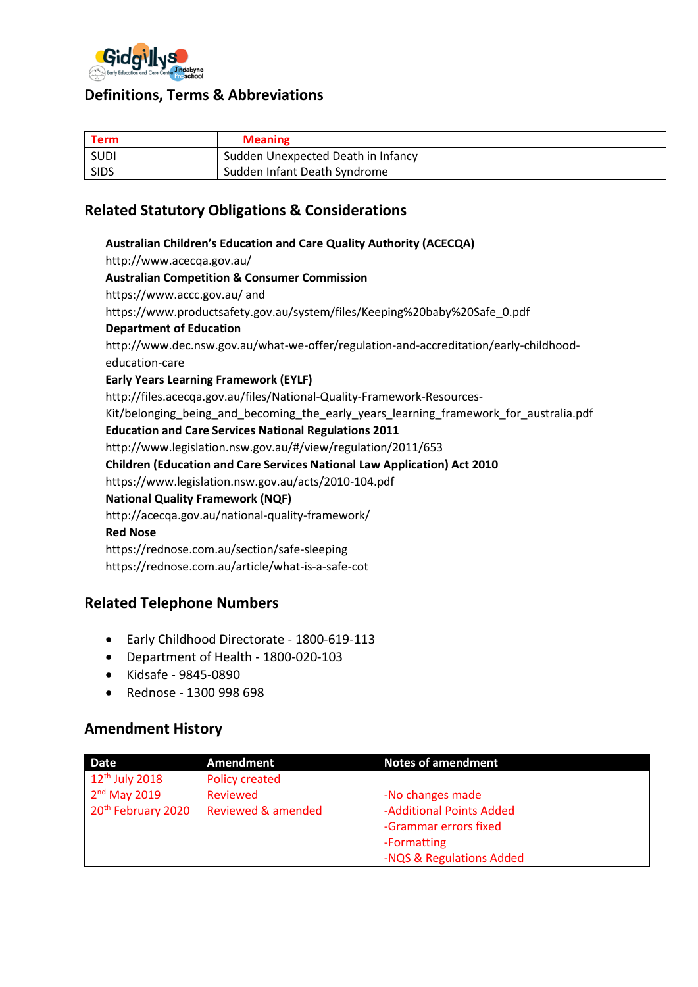

# **Definitions, Terms & Abbreviations**

| <b>Term</b> | <b>Meaning</b>                     |
|-------------|------------------------------------|
| SUDI        | Sudden Unexpected Death in Infancy |
| <b>SIDS</b> | Sudden Infant Death Syndrome       |

# **Related Statutory Obligations & Considerations**

**Australian Children's Education and Care Quality Authority (ACECQA)** http://www.acecqa.gov.au/ **Australian Competition & Consumer Commission** https://www.accc.gov.au/ and https://www.productsafety.gov.au/system/files/Keeping%20baby%20Safe\_0.pdf **Department of Education** http://www.dec.nsw.gov.au/what-we-offer/regulation-and-accreditation/early-childhoodeducation-care **Early Years Learning Framework (EYLF)** http://files.acecqa.gov.au/files/National-Quality-Framework-Resources-Kit/belonging being and becoming the early years learning framework for australia.pdf **Education and Care Services National Regulations 2011**  http://www.legislation.nsw.gov.au/#/view/regulation/2011/653 **Children (Education and Care Services National Law Application) Act 2010** https://www.legislation.nsw.gov.au/acts/2010-104.pdf **National Quality Framework (NQF)** http://acecqa.gov.au/national-quality-framework/ **Red Nose** https://rednose.com.au/section/safe-sleeping https://rednose.com.au/article/what-is-a-safe-cot

### **Related Telephone Numbers**

- Early Childhood Directorate 1800-619-113
- Department of Health 1800-020-103
- Kidsafe 9845-0890
- Rednose 1300 998 698

#### **Amendment History**

| <b>Date</b>                    | <b>Amendment</b>   | <b>Notes of amendment</b> |
|--------------------------------|--------------------|---------------------------|
| $12th$ July 2018               | Policy created     |                           |
| $2nd$ May 2019                 | Reviewed           | -No changes made          |
| 20 <sup>th</sup> February 2020 | Reviewed & amended | -Additional Points Added  |
|                                |                    | -Grammar errors fixed     |
|                                |                    | -Formatting               |
|                                |                    | -NQS & Regulations Added  |